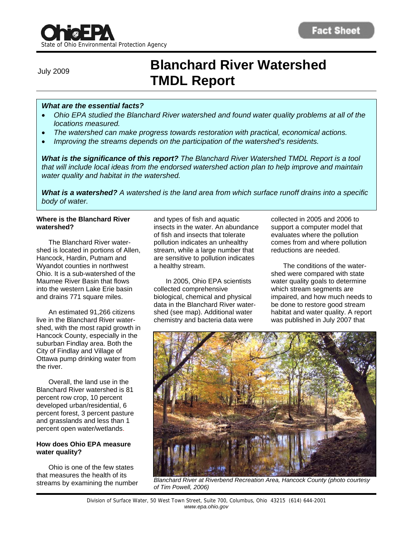# **Blanchard River Watershed TMDL Report** July 2009

# *What are the essential facts?*

- *Ohio EPA studied the Blanchard River watershed and found water quality problems at all of the locations measured.*
- *The watershed can make progress towards restoration with practical, economical actions.*
- *Improving the streams depends on the participation of the watershed's residents.*

*What is the significance of this report? The Blanchard River Watershed TMDL Report is a tool that will include local ideas from the endorsed watershed action plan to help improve and maintain water quality and habitat in the watershed.* 

*What is a watershed? A watershed is the land area from which surface runoff drains into a specific body of water.* 

### **Where is the Blanchard River watershed?**

 The Blanchard River watershed is located in portions of Allen, Hancock, Hardin, Putnam and Wyandot counties in northwest Ohio. It is a sub-watershed of the Maumee River Basin that flows into the western Lake Erie basin and drains 771 square miles.

 An estimated 91,266 citizens live in the Blanchard River watershed, with the most rapid growth in Hancock County, especially in the suburban Findlay area. Both the City of Findlay and Village of Ottawa pump drinking water from the river.

 Overall, the land use in the Blanchard River watershed is 81 percent row crop, 10 percent developed urban/residential, 6 percent forest, 3 percent pasture and grasslands and less than 1 percent open water/wetlands.

### **How does Ohio EPA measure water quality?**

 Ohio is one of the few states that measures the health of its streams by examining the number

and types of fish and aquatic insects in the water. An abundance of fish and insects that tolerate pollution indicates an unhealthy stream, while a large number that are sensitive to pollution indicates a healthy stream.

 In 2005, Ohio EPA scientists collected comprehensive biological, chemical and physical data in the Blanchard River watershed (see map). Additional water chemistry and bacteria data were

collected in 2005 and 2006 to support a computer model that evaluates where the pollution comes from and where pollution reductions are needed.

 The conditions of the watershed were compared with state water quality goals to determine which stream segments are impaired, and how much needs to be done to restore good stream habitat and water quality. A report was published in July 2007 that



*Blanchard River at Riverbend Recreation Area, Hancock County (photo courtesy of Tim Powell, 2006)*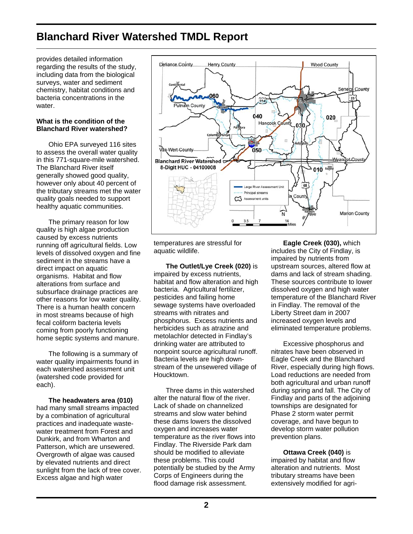# **Blanchard River Watershed TMDL Report**

provides detailed information regarding the results of the study, including data from the biological surveys, water and sediment chemistry, habitat conditions and bacteria concentrations in the water

# **What is the condition of the Blanchard River watershed?**

 Ohio EPA surveyed 116 sites to assess the overall water quality in this 771-square-mile watershed. The Blanchard River itself generally showed good quality, however only about 40 percent of the tributary streams met the water quality goals needed to support healthy aquatic communities.

 The primary reason for low quality is high algae production caused by excess nutrients running off agricultural fields. Low levels of dissolved oxygen and fine sediment in the streams have a direct impact on aquatic organisms. Habitat and flow alterations from surface and subsurface drainage practices are other reasons for low water quality. There is a human health concern in most streams because of high fecal coliform bacteria levels coming from poorly functioning home septic systems and manure.

 The following is a summary of water quality impairments found in each watershed assessment unit (watershed code provided for each).

 **The headwaters area (010)**  had many small streams impacted by a combination of agricultural practices and inadequate wastewater treatment from Forest and Dunkirk, and from Wharton and Patterson, which are unsewered. Overgrowth of algae was caused by elevated nutrients and direct sunlight from the lack of tree cover. Excess algae and high water



temperatures are stressful for aquatic wildlife.

 **The Outlet/Lye Creek (020)** is impaired by excess nutrients, habitat and flow alteration and high bacteria. Agricultural fertilizer, pesticides and failing home sewage systems have overloaded streams with nitrates and phosphorus. Excess nutrients and herbicides such as atrazine and metolachlor detected in Findlay's drinking water are attributed to nonpoint source agricultural runoff. Bacteria levels are high downstream of the unsewered village of Houcktown.

 Three dams in this watershed alter the natural flow of the river. Lack of shade on channelized streams and slow water behind these dams lowers the dissolved oxygen and increases water temperature as the river flows into Findlay. The Riverside Park dam should be modified to alleviate these problems. This could potentially be studied by the Army Corps of Engineers during the flood damage risk assessment.

 **Eagle Creek (030),** which includes the City of Findlay, is impaired by nutrients from upstream sources, altered flow at dams and lack of stream shading. These sources contribute to lower dissolved oxygen and high water temperature of the Blanchard River in Findlay. The removal of the Liberty Street dam in 2007 increased oxygen levels and eliminated temperature problems.

 Excessive phosphorus and nitrates have been observed in Eagle Creek and the Blanchard River, especially during high flows. Load reductions are needed from both agricultural and urban runoff during spring and fall. The City of Findlay and parts of the adjoining townships are designated for Phase 2 storm water permit coverage, and have begun to develop storm water pollution prevention plans.

# **Ottawa Creek (040)** is

impaired by habitat and flow alteration and nutrients. Most tributary streams have been extensively modified for agri-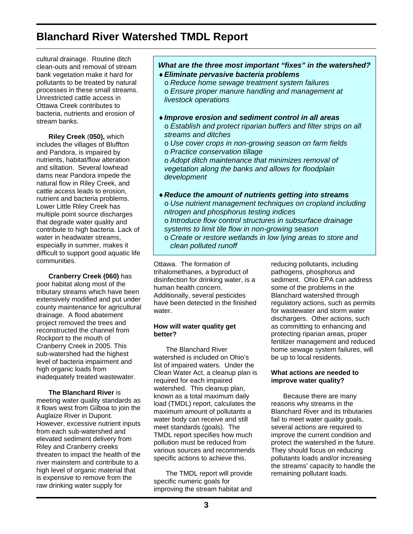# **Blanchard River Watershed TMDL Report**

cultural drainage. Routine ditch clean-outs and removal of stream bank vegetation make it hard for pollutants to be treated by natural processes in these small streams. Unrestricted cattle access in Ottawa Creek contributes to bacteria, nutrients and erosion of stream banks.

 **Riley Creek** (**050),** which includes the villages of Bluffton and Pandora, is impaired by nutrients, habitat/flow alteration and siltation. Several lowhead dams near Pandora impede the natural flow in Riley Creek, and cattle access leads to erosion, nutrient and bacteria problems. Lower Little Riley Creek has multiple point source discharges that degrade water quality and contribute to high bacteria. Lack of water in headwater streams, especially in summer, makes it difficult to support good aquatic life communities.

 **Cranberry Creek (060)** has poor habitat along most of the tributary streams which have been extensively modified and put under county maintenance for agricultural drainage. A flood abatement project removed the trees and reconstructed the channel from Rockport to the mouth of Cranberry Creek in 2005. This sub-watershed had the highest level of bacteria impairment and high organic loads from inadequately treated wastewater.

**The Blanchard River** is meeting water quality standards as it flows west from Gilboa to join the Auglaize River in Dupont. However, excessive nutrient inputs from each sub-watershed and elevated sediment delivery from Riley and Cranberry creeks threaten to impact the health of the river mainstem and contribute to a high level of organic material that is expensive to remove from the raw drinking water supply for

# *What are the three most important "fixes" in the watershed? Eliminate pervasive bacteria problems*

o *Reduce home sewage treatment system failures*  o *Ensure proper manure handling and management at livestock operations* 

- *Improve erosion and sediment control in all areas* o *Establish and protect riparian buffers and filter strips on all streams and ditches*
	- o *Use cover crops in non-growing season on farm fields*
	- o *Practice conservation tillage*

o *Adopt ditch maintenance that minimizes removal of vegetation along the banks and allows for floodplain development* 

- *Reduce the amount of nutrients getting into streams*  o *Use nutrient management techniques on cropland including nitrogen and phosphorus testing indices*  o *Introduce flow control structures in subsurface drainage* 
	- *systems to limit tile flow in non-growing season*
	- o *Create or restore wetlands in low lying areas to store and clean polluted runoff*

Ottawa. The formation of trihalomethanes, a byproduct of disinfection for drinking water, is a human health concern. Additionally, several pesticides have been detected in the finished water

# **How will water quality get better?**

 The Blanchard River watershed is included on Ohio's list of impaired waters. Under the Clean Water Act, a cleanup plan is required for each impaired watershed. This cleanup plan, known as a total maximum daily load (TMDL) report, calculates the maximum amount of pollutants a water body can receive and still meet standards (goals). The TMDL report specifies how much pollution must be reduced from various sources and recommends specific actions to achieve this.

 The TMDL report will provide specific numeric goals for improving the stream habitat and

reducing pollutants, including pathogens, phosphorus and sediment. Ohio EPA can address some of the problems in the Blanchard watershed through regulatory actions, such as permits for wastewater and storm water dischargers. Other actions, such as committing to enhancing and protecting riparian areas, proper fertilizer management and reduced home sewage system failures, will be up to local residents.

# **What actions are needed to improve water quality?**

 Because there are many reasons why streams in the Blanchard River and its tributaries fail to meet water quality goals, several actions are required to improve the current condition and protect the watershed in the future. They should focus on reducing pollutants loads and/or increasing the streams' capacity to handle the remaining pollutant loads.